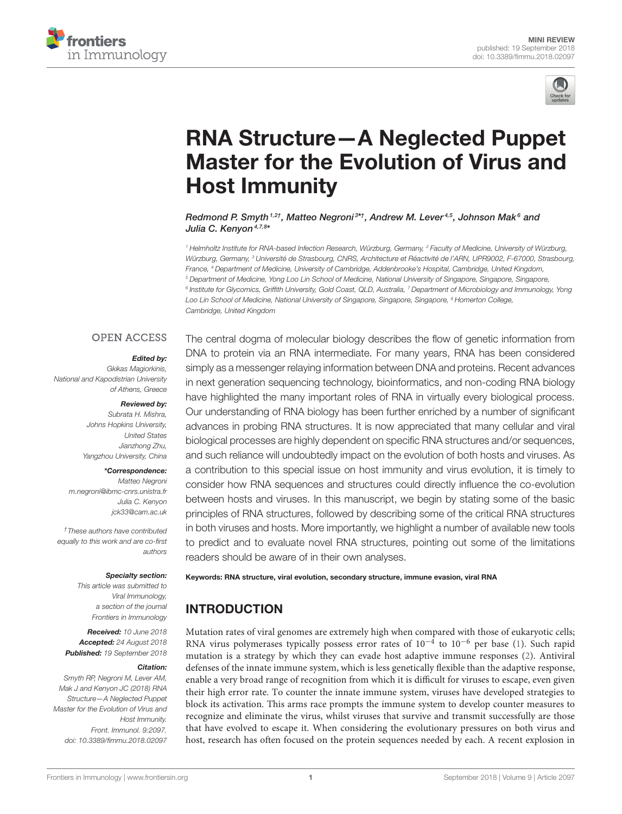



# RNA Structure—A Neglected Puppet [Master for the Evolution of Virus and](https://www.frontiersin.org/articles/10.3389/fimmu.2018.02097/full) Host Immunity

[Redmond P. Smyth](http://loop.frontiersin.org/people/581034/overview) <sup>1,2†</sup>, [Matteo Negroni](http://loop.frontiersin.org/people/383384/overview)<sup>3\*†</sup>, Andrew M. Lever<sup>4,5</sup>, Johnson Mak<sup>6</sup> and [Julia C. Kenyon](http://loop.frontiersin.org/people/572779/overview)<sup>4,7,8</sup>\*

<sup>1</sup> Helmholtz Institute for RNA-based Infection Research, Würzburg, Germany, <sup>2</sup> Faculty of Medicine, University of Würzburg, Würzburg, Germany, <sup>3</sup> Université de Strasbourg, CNRS, Architecture et Réactivité de l'ARN, UPR9002, F-67000, Strasbourg, France, <sup>4</sup> Department of Medicine, University of Cambridge, Addenbrooke's Hospital, Cambridge, United Kingdom, <sup>5</sup> Department of Medicine, Yong Loo Lin School of Medicine, National University of Singapore, Singapore, Singapore,  $^6$ Institute for Glycomics, Griffith University, Gold Coast, QLD, Australia, <sup>7</sup> Department of Microbiology and Immunology, Yong Loo Lin School of Medicine, National University of Singapore, Singapore, Singapore, <sup>8</sup> Homerton College, Cambridge, United Kingdom

### **OPEN ACCESS**

### Edited by:

Gkikas Magiorkinis, National and Kapodistrian University of Athens, Greece

#### Reviewed by:

Subrata H. Mishra, Johns Hopkins University, United States Jianzhong Zhu, Yangzhou University, China

#### \*Correspondence:

Matteo Negroni [m.negroni@ibmc-cnrs.unistra.fr](mailto:m.negroni@ibmc-cnrs.unistra.fr) Julia C. Kenyon [jck33@cam.ac.uk](mailto:jck33@cam.ac.uk)

†These authors have contributed equally to this work and are co-first authors

#### Specialty section:

This article was submitted to Viral Immunology, a section of the journal Frontiers in Immunology

Received: 10 June 2018 Accepted: 24 August 2018 Published: 19 September 2018

### Citation:

Smyth RP, Negroni M, Lever AM, Mak J and Kenyon JC (2018) RNA Structure—A Neglected Puppet Master for the Evolution of Virus and Host Immunity. Front. Immunol. 9:2097. doi: [10.3389/fimmu.2018.02097](https://doi.org/10.3389/fimmu.2018.02097)

The central dogma of molecular biology describes the flow of genetic information from DNA to protein via an RNA intermediate. For many years, RNA has been considered simply as a messenger relaying information between DNA and proteins. Recent advances in next generation sequencing technology, bioinformatics, and non-coding RNA biology have highlighted the many important roles of RNA in virtually every biological process. Our understanding of RNA biology has been further enriched by a number of significant advances in probing RNA structures. It is now appreciated that many cellular and viral biological processes are highly dependent on specific RNA structures and/or sequences, and such reliance will undoubtedly impact on the evolution of both hosts and viruses. As a contribution to this special issue on host immunity and virus evolution, it is timely to consider how RNA sequences and structures could directly influence the co-evolution between hosts and viruses. In this manuscript, we begin by stating some of the basic principles of RNA structures, followed by describing some of the critical RNA structures in both viruses and hosts. More importantly, we highlight a number of available new tools to predict and to evaluate novel RNA structures, pointing out some of the limitations readers should be aware of in their own analyses.

#### Keywords: RNA structure, viral evolution, secondary structure, immune evasion, viral RNA

# INTRODUCTION

Mutation rates of viral genomes are extremely high when compared with those of eukaryotic cells; RNA virus polymerases typically possess error rates of 10<sup>-4</sup> to 10<sup>-6</sup> per base [\(1\)](#page-4-0). Such rapid mutation is a strategy by which they can evade host adaptive immune responses [\(2\)](#page-4-1). Antiviral defenses of the innate immune system, which is less genetically flexible than the adaptive response, enable a very broad range of recognition from which it is difficult for viruses to escape, even given their high error rate. To counter the innate immune system, viruses have developed strategies to block its activation. This arms race prompts the immune system to develop counter measures to recognize and eliminate the virus, whilst viruses that survive and transmit successfully are those that have evolved to escape it. When considering the evolutionary pressures on both virus and host, research has often focused on the protein sequences needed by each. A recent explosion in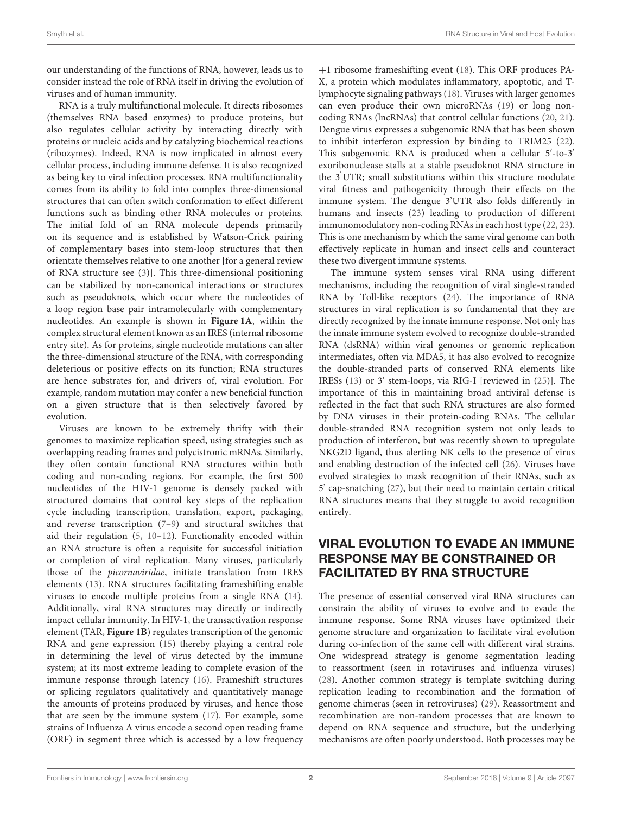our understanding of the functions of RNA, however, leads us to consider instead the role of RNA itself in driving the evolution of viruses and of human immunity.

RNA is a truly multifunctional molecule. It directs ribosomes (themselves RNA based enzymes) to produce proteins, but also regulates cellular activity by interacting directly with proteins or nucleic acids and by catalyzing biochemical reactions (ribozymes). Indeed, RNA is now implicated in almost every cellular process, including immune defense. It is also recognized as being key to viral infection processes. RNA multifunctionality comes from its ability to fold into complex three-dimensional structures that can often switch conformation to effect different functions such as binding other RNA molecules or proteins. The initial fold of an RNA molecule depends primarily on its sequence and is established by Watson-Crick pairing of complementary bases into stem-loop structures that then orientate themselves relative to one another [for a general review of RNA structure see [\(3\)](#page-4-2)]. This three-dimensional positioning can be stabilized by non-canonical interactions or structures such as pseudoknots, which occur where the nucleotides of a loop region base pair intramolecularly with complementary nucleotides. An example is shown in **[Figure 1A](#page-2-0)**, within the complex structural element known as an IRES (internal ribosome entry site). As for proteins, single nucleotide mutations can alter the three-dimensional structure of the RNA, with corresponding deleterious or positive effects on its function; RNA structures are hence substrates for, and drivers of, viral evolution. For example, random mutation may confer a new beneficial function on a given structure that is then selectively favored by evolution.

Viruses are known to be extremely thrifty with their genomes to maximize replication speed, using strategies such as overlapping reading frames and polycistronic mRNAs. Similarly, they often contain functional RNA structures within both coding and non-coding regions. For example, the first 500 nucleotides of the HIV-1 genome is densely packed with structured domains that control key steps of the replication cycle including transcription, translation, export, packaging, and reverse transcription [\(7–](#page-4-3)[9\)](#page-4-4) and structural switches that aid their regulation [\(5,](#page-4-5) [10–](#page-4-6)[12\)](#page-4-7). Functionality encoded within an RNA structure is often a requisite for successful initiation or completion of viral replication. Many viruses, particularly those of the picornaviridae, initiate translation from IRES elements [\(13\)](#page-4-8). RNA structures facilitating frameshifting enable viruses to encode multiple proteins from a single RNA [\(14\)](#page-5-0). Additionally, viral RNA structures may directly or indirectly impact cellular immunity. In HIV-1, the transactivation response element (TAR, **[Figure 1B](#page-2-0)**) regulates transcription of the genomic RNA and gene expression [\(15\)](#page-5-1) thereby playing a central role in determining the level of virus detected by the immune system; at its most extreme leading to complete evasion of the immune response through latency [\(16\)](#page-5-2). Frameshift structures or splicing regulators qualitatively and quantitatively manage the amounts of proteins produced by viruses, and hence those that are seen by the immune system [\(17\)](#page-5-3). For example, some strains of Influenza A virus encode a second open reading frame (ORF) in segment three which is accessed by a low frequency +1 ribosome frameshifting event [\(18\)](#page-5-4). This ORF produces PA-X, a protein which modulates inflammatory, apoptotic, and Tlymphocyte signaling pathways [\(18\)](#page-5-4). Viruses with larger genomes can even produce their own microRNAs [\(19\)](#page-5-5) or long noncoding RNAs (lncRNAs) that control cellular functions [\(20,](#page-5-6) [21\)](#page-5-7). Dengue virus expresses a subgenomic RNA that has been shown to inhibit interferon expression by binding to TRIM25 [\(22\)](#page-5-8). This subgenomic RNA is produced when a cellular 5'-to-3' exoribonuclease stalls at a stable pseudoknot RNA structure in the 3′ UTR; small substitutions within this structure modulate viral fitness and pathogenicity through their effects on the immune system. The dengue 3'UTR also folds differently in humans and insects [\(23\)](#page-5-9) leading to production of different immunomodulatory non-coding RNAs in each host type [\(22,](#page-5-8) [23\)](#page-5-9). This is one mechanism by which the same viral genome can both effectively replicate in human and insect cells and counteract these two divergent immune systems.

The immune system senses viral RNA using different mechanisms, including the recognition of viral single-stranded RNA by Toll-like receptors [\(24\)](#page-5-10). The importance of RNA structures in viral replication is so fundamental that they are directly recognized by the innate immune response. Not only has the innate immune system evolved to recognize double-stranded RNA (dsRNA) within viral genomes or genomic replication intermediates, often via MDA5, it has also evolved to recognize the double-stranded parts of conserved RNA elements like IRESs [\(13\)](#page-4-8) or 3' stem-loops, via RIG-I [reviewed in [\(25\)](#page-5-11)]. The importance of this in maintaining broad antiviral defense is reflected in the fact that such RNA structures are also formed by DNA viruses in their protein-coding RNAs. The cellular double-stranded RNA recognition system not only leads to production of interferon, but was recently shown to upregulate NKG2D ligand, thus alerting NK cells to the presence of virus and enabling destruction of the infected cell [\(26\)](#page-5-12). Viruses have evolved strategies to mask recognition of their RNAs, such as 5' cap-snatching [\(27\)](#page-5-13), but their need to maintain certain critical RNA structures means that they struggle to avoid recognition entirely.

# VIRAL EVOLUTION TO EVADE AN IMMUNE RESPONSE MAY BE CONSTRAINED OR FACILITATED BY RNA STRUCTURE

The presence of essential conserved viral RNA structures can constrain the ability of viruses to evolve and to evade the immune response. Some RNA viruses have optimized their genome structure and organization to facilitate viral evolution during co-infection of the same cell with different viral strains. One widespread strategy is genome segmentation leading to reassortment (seen in rotaviruses and influenza viruses) [\(28\)](#page-5-14). Another common strategy is template switching during replication leading to recombination and the formation of genome chimeras (seen in retroviruses) [\(29\)](#page-5-15). Reassortment and recombination are non-random processes that are known to depend on RNA sequence and structure, but the underlying mechanisms are often poorly understood. Both processes may be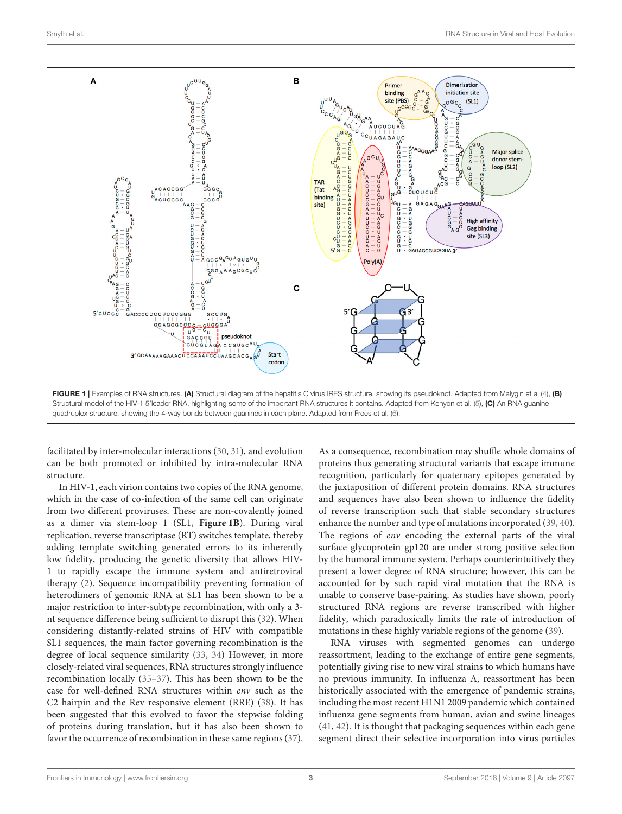

<span id="page-2-0"></span>facilitated by inter-molecular interactions [\(30,](#page-5-16) [31\)](#page-5-17), and evolution can be both promoted or inhibited by intra-molecular RNA structure.

In HIV-1, each virion contains two copies of the RNA genome, which in the case of co-infection of the same cell can originate from two different proviruses. These are non-covalently joined as a dimer via stem-loop 1 (SL1, **[Figure 1B](#page-2-0)**). During viral replication, reverse transcriptase (RT) switches template, thereby adding template switching generated errors to its inherently low fidelity, producing the genetic diversity that allows HIV-1 to rapidly escape the immune system and antiretroviral therapy [\(2\)](#page-4-1). Sequence incompatibility preventing formation of heterodimers of genomic RNA at SL1 has been shown to be a major restriction to inter-subtype recombination, with only a 3 nt sequence difference being sufficient to disrupt this [\(32\)](#page-5-18). When considering distantly-related strains of HIV with compatible SL1 sequences, the main factor governing recombination is the degree of local sequence similarity [\(33,](#page-5-19) [34\)](#page-5-20) However, in more closely-related viral sequences, RNA structures strongly influence recombination locally [\(35–](#page-5-21)[37\)](#page-5-22). This has been shown to be the case for well-defined RNA structures within env such as the C2 hairpin and the Rev responsive element (RRE) [\(38\)](#page-5-23). It has been suggested that this evolved to favor the stepwise folding of proteins during translation, but it has also been shown to favor the occurrence of recombination in these same regions[\(37\)](#page-5-22). As a consequence, recombination may shuffle whole domains of proteins thus generating structural variants that escape immune recognition, particularly for quaternary epitopes generated by the juxtaposition of different protein domains. RNA structures and sequences have also been shown to influence the fidelity of reverse transcription such that stable secondary structures enhance the number and type of mutations incorporated [\(39,](#page-5-24) [40\)](#page-5-25). The regions of env encoding the external parts of the viral surface glycoprotein gp120 are under strong positive selection by the humoral immune system. Perhaps counterintuitively they present a lower degree of RNA structure; however, this can be accounted for by such rapid viral mutation that the RNA is unable to conserve base-pairing. As studies have shown, poorly structured RNA regions are reverse transcribed with higher fidelity, which paradoxically limits the rate of introduction of mutations in these highly variable regions of the genome [\(39\)](#page-5-24).

RNA viruses with segmented genomes can undergo reassortment, leading to the exchange of entire gene segments, potentially giving rise to new viral strains to which humans have no previous immunity. In influenza A, reassortment has been historically associated with the emergence of pandemic strains, including the most recent H1N1 2009 pandemic which contained influenza gene segments from human, avian and swine lineages [\(41,](#page-5-26) [42\)](#page-5-27). It is thought that packaging sequences within each gene segment direct their selective incorporation into virus particles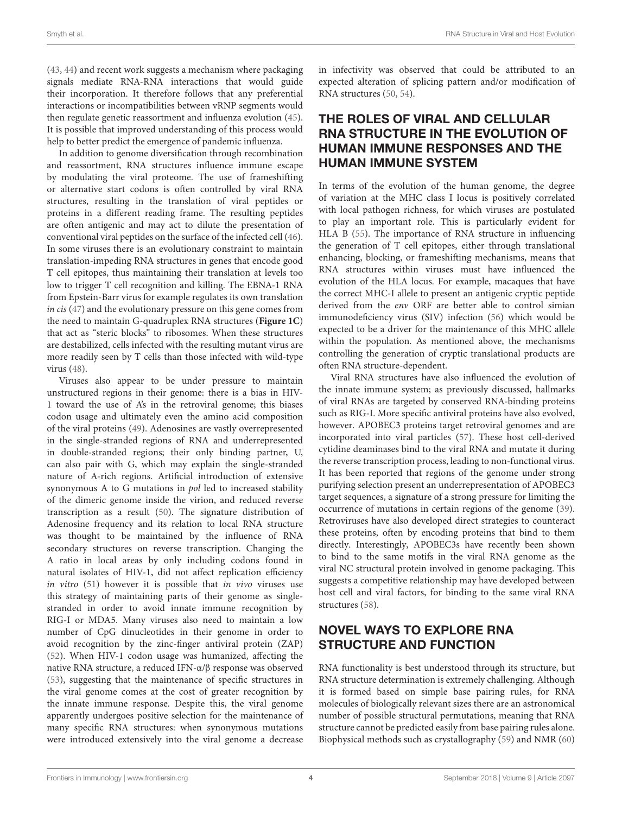[\(43,](#page-5-28) [44\)](#page-5-29) and recent work suggests a mechanism where packaging signals mediate RNA-RNA interactions that would guide their incorporation. It therefore follows that any preferential interactions or incompatibilities between vRNP segments would then regulate genetic reassortment and influenza evolution [\(45\)](#page-5-30). It is possible that improved understanding of this process would help to better predict the emergence of pandemic influenza.

In addition to genome diversification through recombination and reassortment, RNA structures influence immune escape by modulating the viral proteome. The use of frameshifting or alternative start codons is often controlled by viral RNA structures, resulting in the translation of viral peptides or proteins in a different reading frame. The resulting peptides are often antigenic and may act to dilute the presentation of conventional viral peptides on the surface of the infected cell [\(46\)](#page-5-31). In some viruses there is an evolutionary constraint to maintain translation-impeding RNA structures in genes that encode good T cell epitopes, thus maintaining their translation at levels too low to trigger T cell recognition and killing. The EBNA-1 RNA from Epstein-Barr virus for example regulates its own translation in cis [\(47\)](#page-5-32) and the evolutionary pressure on this gene comes from the need to maintain G-quadruplex RNA structures (**[Figure 1C](#page-2-0)**) that act as "steric blocks" to ribosomes. When these structures are destabilized, cells infected with the resulting mutant virus are more readily seen by T cells than those infected with wild-type virus [\(48\)](#page-5-33).

Viruses also appear to be under pressure to maintain unstructured regions in their genome: there is a bias in HIV-1 toward the use of A's in the retroviral genome; this biases codon usage and ultimately even the amino acid composition of the viral proteins [\(49\)](#page-5-34). Adenosines are vastly overrepresented in the single-stranded regions of RNA and underrepresented in double-stranded regions; their only binding partner, U, can also pair with G, which may explain the single-stranded nature of A-rich regions. Artificial introduction of extensive synonymous A to G mutations in pol led to increased stability of the dimeric genome inside the virion, and reduced reverse transcription as a result [\(50\)](#page-5-35). The signature distribution of Adenosine frequency and its relation to local RNA structure was thought to be maintained by the influence of RNA secondary structures on reverse transcription. Changing the A ratio in local areas by only including codons found in natural isolates of HIV-1, did not affect replication efficiency in vitro [\(51\)](#page-5-36) however it is possible that in vivo viruses use this strategy of maintaining parts of their genome as singlestranded in order to avoid innate immune recognition by RIG-I or MDA5. Many viruses also need to maintain a low number of CpG dinucleotides in their genome in order to avoid recognition by the zinc-finger antiviral protein (ZAP) [\(52\)](#page-5-37). When HIV-1 codon usage was humanized, affecting the native RNA structure, a reduced IFN-α/β response was observed [\(53\)](#page-5-38), suggesting that the maintenance of specific structures in the viral genome comes at the cost of greater recognition by the innate immune response. Despite this, the viral genome apparently undergoes positive selection for the maintenance of many specific RNA structures: when synonymous mutations were introduced extensively into the viral genome a decrease in infectivity was observed that could be attributed to an expected alteration of splicing pattern and/or modification of RNA structures [\(50,](#page-5-35) [54\)](#page-5-39).

# THE ROLES OF VIRAL AND CELLULAR RNA STRUCTURE IN THE EVOLUTION OF HUMAN IMMUNE RESPONSES AND THE HUMAN IMMUNE SYSTEM

In terms of the evolution of the human genome, the degree of variation at the MHC class I locus is positively correlated with local pathogen richness, for which viruses are postulated to play an important role. This is particularly evident for HLA B [\(55\)](#page-5-40). The importance of RNA structure in influencing the generation of T cell epitopes, either through translational enhancing, blocking, or frameshifting mechanisms, means that RNA structures within viruses must have influenced the evolution of the HLA locus. For example, macaques that have the correct MHC-I allele to present an antigenic cryptic peptide derived from the env ORF are better able to control simian immunodeficiency virus (SIV) infection [\(56\)](#page-5-41) which would be expected to be a driver for the maintenance of this MHC allele within the population. As mentioned above, the mechanisms controlling the generation of cryptic translational products are often RNA structure-dependent.

Viral RNA structures have also influenced the evolution of the innate immune system; as previously discussed, hallmarks of viral RNAs are targeted by conserved RNA-binding proteins such as RIG-I. More specific antiviral proteins have also evolved, however. APOBEC3 proteins target retroviral genomes and are incorporated into viral particles [\(57\)](#page-6-0). These host cell-derived cytidine deaminases bind to the viral RNA and mutate it during the reverse transcription process, leading to non-functional virus. It has been reported that regions of the genome under strong purifying selection present an underrepresentation of APOBEC3 target sequences, a signature of a strong pressure for limiting the occurrence of mutations in certain regions of the genome [\(39\)](#page-5-24). Retroviruses have also developed direct strategies to counteract these proteins, often by encoding proteins that bind to them directly. Interestingly, APOBEC3s have recently been shown to bind to the same motifs in the viral RNA genome as the viral NC structural protein involved in genome packaging. This suggests a competitive relationship may have developed between host cell and viral factors, for binding to the same viral RNA structures [\(58\)](#page-6-1).

# NOVEL WAYS TO EXPLORE RNA STRUCTURE AND FUNCTION

RNA functionality is best understood through its structure, but RNA structure determination is extremely challenging. Although it is formed based on simple base pairing rules, for RNA molecules of biologically relevant sizes there are an astronomical number of possible structural permutations, meaning that RNA structure cannot be predicted easily from base pairing rules alone. Biophysical methods such as crystallography [\(59\)](#page-6-2) and NMR [\(60\)](#page-6-3)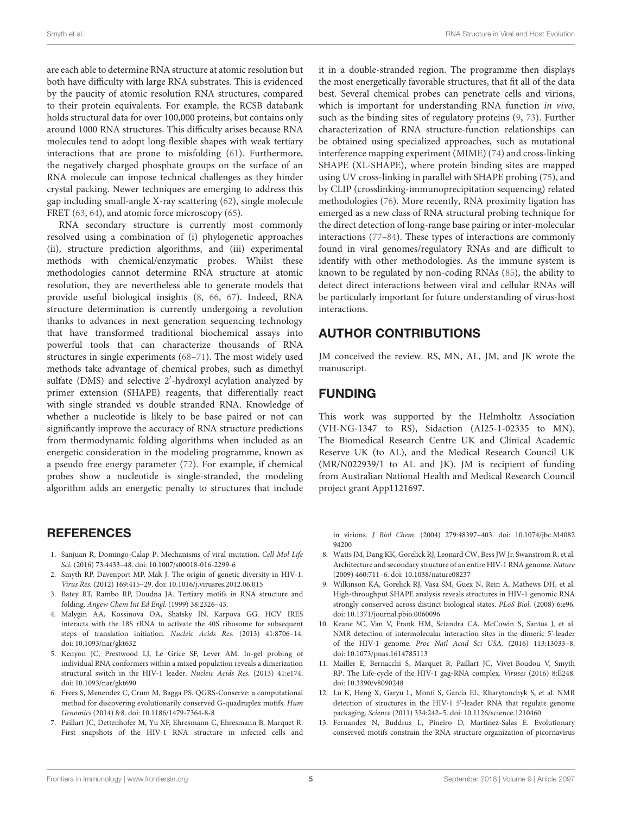are each able to determine RNA structure at atomic resolution but both have difficulty with large RNA substrates. This is evidenced by the paucity of atomic resolution RNA structures, compared to their protein equivalents. For example, the RCSB databank holds structural data for over 100,000 proteins, but contains only around 1000 RNA structures. This difficulty arises because RNA molecules tend to adopt long flexible shapes with weak tertiary interactions that are prone to misfolding [\(61\)](#page-6-4). Furthermore, the negatively charged phosphate groups on the surface of an RNA molecule can impose technical challenges as they hinder crystal packing. Newer techniques are emerging to address this gap including small-angle X-ray scattering [\(62\)](#page-6-5), single molecule FRET [\(63,](#page-6-6) [64\)](#page-6-7), and atomic force microscopy [\(65\)](#page-6-8).

RNA secondary structure is currently most commonly resolved using a combination of (i) phylogenetic approaches (ii), structure prediction algorithms, and (iii) experimental methods with chemical/enzymatic probes. Whilst these methodologies cannot determine RNA structure at atomic resolution, they are nevertheless able to generate models that provide useful biological insights [\(8,](#page-4-11) [66,](#page-6-9) [67\)](#page-6-10). Indeed, RNA structure determination is currently undergoing a revolution thanks to advances in next generation sequencing technology that have transformed traditional biochemical assays into powerful tools that can characterize thousands of RNA structures in single experiments [\(68](#page-6-11)[–71\)](#page-6-12). The most widely used methods take advantage of chemical probes, such as dimethyl sulfate (DMS) and selective 2′ -hydroxyl acylation analyzed by primer extension (SHAPE) reagents, that differentially react with single stranded vs double stranded RNA. Knowledge of whether a nucleotide is likely to be base paired or not can significantly improve the accuracy of RNA structure predictions from thermodynamic folding algorithms when included as an energetic consideration in the modeling programme, known as a pseudo free energy parameter [\(72\)](#page-6-13). For example, if chemical probes show a nucleotide is single-stranded, the modeling algorithm adds an energetic penalty to structures that include

### **REFERENCES**

- <span id="page-4-0"></span>1. Sanjuan R, Domingo-Calap P. Mechanisms of viral mutation. Cell Mol Life Sci. (2016) 73:4433–48. doi: [10.1007/s00018-016-2299-6](https://doi.org/10.1007/s00018-016-2299-6)
- <span id="page-4-1"></span>2. Smyth RP, Davenport MP, Mak J. The origin of genetic diversity in HIV-1. Virus Res. (2012) 169:415–29. doi: [10.1016/j.virusres.2012.06.015](https://doi.org/10.1016/j.virusres.2012.06.015)
- <span id="page-4-2"></span>3. Batey RT, Rambo RP, Doudna JA. Tertiary motifs in RNA structure and folding. Angew Chem Int Ed Engl. (1999) 38:2326–43.
- <span id="page-4-9"></span>4. Malygin AA, Kossinova OA, Shatsky IN, Karpova GG. HCV IRES interacts with the 18S rRNA to activate the 40S ribosome for subsequent steps of translation initiation. Nucleic Acids Res. (2013) 41:8706–14. doi: [10.1093/nar/gkt632](https://doi.org/10.1093/nar/gkt632)
- <span id="page-4-5"></span>5. Kenyon JC, Prestwood LJ, Le Grice SF, Lever AM. In-gel probing of individual RNA conformers within a mixed population reveals a dimerization structural switch in the HIV-1 leader. Nucleic Acids Res. (2013) 41:e174. doi: [10.1093/nar/gkt690](https://doi.org/10.1093/nar/gkt690)
- <span id="page-4-10"></span>6. Frees S, Menendez C, Crum M, Bagga PS. QGRS-Conserve: a computational method for discovering evolutionarily conserved G-quadruplex motifs. Hum Genomics (2014) 8:8. doi: [10.1186/1479-7364-8-8](https://doi.org/10.1186/1479-7364-8-8)
- <span id="page-4-3"></span>7. Paillart JC, Dettenhofer M, Yu XF, Ehresmann C, Ehresmann B, Marquet R. First snapshots of the HIV-1 RNA structure in infected cells and

it in a double-stranded region. The programme then displays the most energetically favorable structures, that fit all of the data best. Several chemical probes can penetrate cells and virions, which is important for understanding RNA function in vivo, such as the binding sites of regulatory proteins [\(9,](#page-4-4) [73\)](#page-6-14). Further characterization of RNA structure-function relationships can be obtained using specialized approaches, such as mutational interference mapping experiment (MIME) [\(74\)](#page-6-15) and cross-linking SHAPE (XL-SHAPE), where protein binding sites are mapped using UV cross-linking in parallel with SHAPE probing [\(75\)](#page-6-16), and by CLIP (crosslinking-immunoprecipitation sequencing) related methodologies [\(76\)](#page-6-17). More recently, RNA proximity ligation has emerged as a new class of RNA structural probing technique for the direct detection of long-range base pairing or inter-molecular interactions [\(77–](#page-6-18)[84\)](#page-6-19). These types of interactions are commonly found in viral genomes/regulatory RNAs and are difficult to identify with other methodologies. As the immune system is known to be regulated by non-coding RNAs [\(85\)](#page-6-20), the ability to detect direct interactions between viral and cellular RNAs will be particularly important for future understanding of virus-host interactions.

### AUTHOR CONTRIBUTIONS

JM conceived the review. RS, MN, AL, JM, and JK wrote the manuscript.

### FUNDING

This work was supported by the Helmholtz Association (VH-NG-1347 to RS), Sidaction (AI25-1-02335 to MN), The Biomedical Research Centre UK and Clinical Academic Reserve UK (to AL), and the Medical Research Council UK (MR/N022939/1 to AL and JK). JM is recipient of funding from Australian National Health and Medical Research Council project grant App1121697.

in virions. J Biol Chem[. \(2004\) 279:48397–403. doi: 10.1074/jbc.M4082](https://doi.org/10.1074/jbc.M408294200) 94200

- <span id="page-4-11"></span>8. Watts JM, Dang KK, Gorelick RJ, Leonard CW, Bess JW Jr, Swanstrom R, et al. Architecture and secondary structure of an entire HIV-1 RNA genome. Nature (2009) 460:711–6. doi: [10.1038/nature08237](https://doi.org/10.1038/nature08237)
- <span id="page-4-4"></span>9. Wilkinson KA, Gorelick RJ, Vasa SM, Guex N, Rein A, Mathews DH, et al. High-throughput SHAPE analysis reveals structures in HIV-1 genomic RNA strongly conserved across distinct biological states. PLoS Biol. (2008) 6:e96. doi: [10.1371/journal.pbio.0060096](https://doi.org/10.1371/journal.pbio.0060096)
- <span id="page-4-6"></span>10. Keane SC, Van V, Frank HM, Sciandra CA, McCowin S, Santos J, et al. NMR detection of intermolecular interaction sites in the dimeric 5'-leader of the HIV-1 genome. Proc Natl Acad Sci USA. (2016) 113:13033–8. doi: [10.1073/pnas.1614785113](https://doi.org/10.1073/pnas.1614785113)
- 11. Mailler E, Bernacchi S, Marquet R, Paillart JC, Vivet-Boudou V, Smyth RP. The Life-cycle of the HIV-1 gag-RNA complex. Viruses (2016) 8:E248. doi: [10.3390/v8090248](https://doi.org/10.3390/v8090248)
- <span id="page-4-7"></span>12. Lu K, Heng X, Garyu L, Monti S, Garcia EL, Kharytonchyk S, et al. NMR detection of structures in the HIV-1 5'-leader RNA that regulate genome packaging. Science (2011) 334:242–5. doi: [10.1126/science.1210460](https://doi.org/10.1126/science.1210460)
- <span id="page-4-8"></span>13. Fernandez N, Buddrus L, Pineiro D, Martinez-Salas E. Evolutionary conserved motifs constrain the RNA structure organization of picornavirus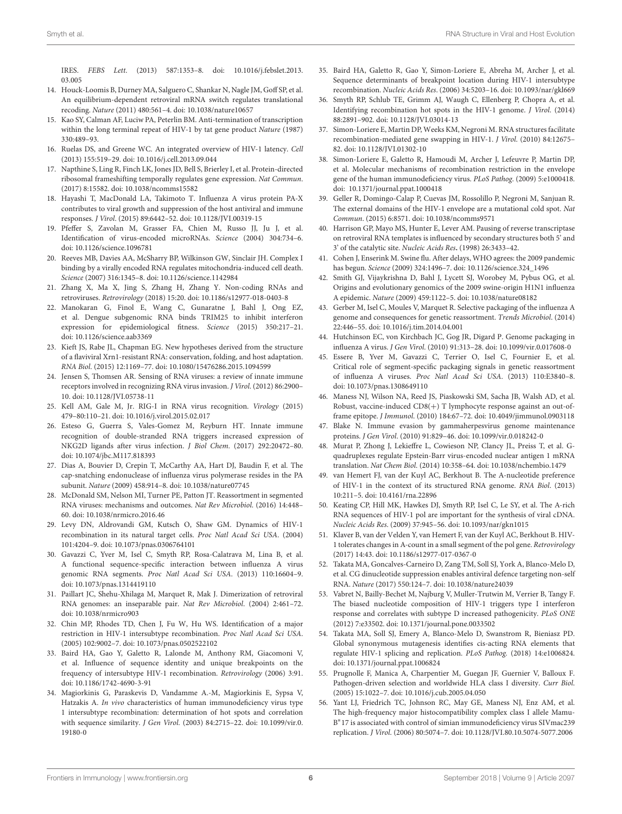IRES. FEBS Lett[. \(2013\) 587:1353–8. doi: 10.1016/j.febslet.2013.](https://doi.org/10.1016/j.febslet.2013.03.005) 03.005

- <span id="page-5-0"></span>14. Houck-Loomis B, Durney MA, Salguero C, Shankar N, Nagle JM, Goff SP, et al. An equilibrium-dependent retroviral mRNA switch regulates translational recoding. Nature (2011) 480:561–4. doi: [10.1038/nature10657](https://doi.org/10.1038/nature10657)
- <span id="page-5-1"></span>15. Kao SY, Calman AF, Luciw PA, Peterlin BM. Anti-termination of transcription within the long terminal repeat of HIV-1 by tat gene product Nature (1987) 330:489–93.
- <span id="page-5-2"></span>16. Ruelas DS, and Greene WC. An integrated overview of HIV-1 latency. Cell (2013) 155:519–29. doi: [10.1016/j.cell.2013.09.044](https://doi.org/10.1016/j.cell.2013.09.044)
- <span id="page-5-3"></span>17. Napthine S, Ling R, Finch LK, Jones JD, Bell S, Brierley I, et al. Protein-directed ribosomal frameshifting temporally regulates gene expression. Nat Commun. (2017) 8:15582. doi: [10.1038/ncomms15582](https://doi.org/10.1038/ncomms15582)
- <span id="page-5-4"></span>18. Hayashi T, MacDonald LA, Takimoto T. Influenza A virus protein PA-X contributes to viral growth and suppression of the host antiviral and immune responses. J Virol. (2015) 89:6442–52. doi: [10.1128/JVI.00319-15](https://doi.org/10.1128/JVI.00319-15)
- <span id="page-5-5"></span>19. Pfeffer S, Zavolan M, Grasser FA, Chien M, Russo JJ, Ju J, et al. Identification of virus-encoded microRNAs. Science (2004) 304:734–6. doi: [10.1126/science.1096781](https://doi.org/10.1126/science.1096781)
- <span id="page-5-6"></span>20. Reeves MB, Davies AA, McSharry BP, Wilkinson GW, Sinclair JH. Complex I binding by a virally encoded RNA regulates mitochondria-induced cell death. Science (2007) 316:1345–8. doi: [10.1126/science.1142984](https://doi.org/10.1126/science.1142984)
- <span id="page-5-7"></span>21. Zhang X, Ma X, Jing S, Zhang H, Zhang Y. Non-coding RNAs and retroviruses. Retrovirology (2018) 15:20. doi: [10.1186/s12977-018-0403-8](https://doi.org/10.1186/s12977-018-0403-8)
- <span id="page-5-8"></span>22. Manokaran G, Finol E, Wang C, Gunaratne J, Bahl J, Ong EZ, et al. Dengue subgenomic RNA binds TRIM25 to inhibit interferon expression for epidemiological fitness. Science (2015) 350:217–21. doi: [10.1126/science.aab3369](https://doi.org/10.1126/science.aab3369)
- <span id="page-5-9"></span>23. Kieft JS, Rabe JL, Chapman EG. New hypotheses derived from the structure of a flaviviral Xrn1-resistant RNA: conservation, folding, and host adaptation. RNA Biol. (2015) 12:1169–77. doi: [10.1080/15476286.2015.1094599](https://doi.org/10.1080/15476286.2015.1094599)
- <span id="page-5-10"></span>24. Jensen S, Thomsen AR. Sensing of RNA viruses: a review of innate immune receptors involved in recognizing RNA virus invasion. J Virol. (2012) 86:2900– 10. doi: [10.1128/JVI.05738-11](https://doi.org/10.1128/JVI.05738-11)
- <span id="page-5-11"></span>25. Kell AM, Gale M, Jr. RIG-I in RNA virus recognition. Virology (2015) 479–80:110–21. doi: [10.1016/j.virol.2015.02.017](https://doi.org/10.1016/j.virol.2015.02.017)
- <span id="page-5-12"></span>26. Esteso G, Guerra S, Vales-Gomez M, Reyburn HT. Innate immune recognition of double-stranded RNA triggers increased expression of NKG2D ligands after virus infection. J Biol Chem. (2017) 292:20472–80. doi: [10.1074/jbc.M117.818393](https://doi.org/10.1074/jbc.M117.818393)
- <span id="page-5-13"></span>27. Dias A, Bouvier D, Crepin T, McCarthy AA, Hart DJ, Baudin F, et al. The cap-snatching endonuclease of influenza virus polymerase resides in the PA subunit. Nature (2009) 458:914–8. doi: [10.1038/nature07745](https://doi.org/10.1038/nature07745)
- <span id="page-5-14"></span>28. McDonald SM, Nelson MI, Turner PE, Patton JT. Reassortment in segmented RNA viruses: mechanisms and outcomes. Nat Rev Microbiol. (2016) 14:448– 60. doi: [10.1038/nrmicro.2016.46](https://doi.org/10.1038/nrmicro.2016.46)
- <span id="page-5-15"></span>29. Levy DN, Aldrovandi GM, Kutsch O, Shaw GM. Dynamics of HIV-1 recombination in its natural target cells. Proc Natl Acad Sci USA. (2004) 101:4204–9. doi: [10.1073/pnas.0306764101](https://doi.org/10.1073/pnas.0306764101)
- <span id="page-5-16"></span>30. Gavazzi C, Yver M, Isel C, Smyth RP, Rosa-Calatrava M, Lina B, et al. A functional sequence-specific interaction between influenza A virus genomic RNA segments. Proc Natl Acad Sci USA. (2013) 110:16604–9. doi: [10.1073/pnas.1314419110](https://doi.org/10.1073/pnas.1314419110)
- <span id="page-5-17"></span>31. Paillart JC, Shehu-Xhilaga M, Marquet R, Mak J. Dimerization of retroviral RNA genomes: an inseparable pair. Nat Rev Microbiol. (2004) 2:461–72. doi: [10.1038/nrmicro903](https://doi.org/10.1038/nrmicro903)
- <span id="page-5-18"></span>32. Chin MP, Rhodes TD, Chen J, Fu W, Hu WS. Identification of a major restriction in HIV-1 intersubtype recombination. Proc Natl Acad Sci USA. (2005) 102:9002–7. doi: [10.1073/pnas.0502522102](https://doi.org/10.1073/pnas.0502522102)
- <span id="page-5-19"></span>33. Baird HA, Gao Y, Galetto R, Lalonde M, Anthony RM, Giacomoni V, et al. Influence of sequence identity and unique breakpoints on the frequency of intersubtype HIV-1 recombination. Retrovirology (2006) 3:91. doi: [10.1186/1742-4690-3-91](https://doi.org/10.1186/1742-4690-3-91)
- <span id="page-5-20"></span>34. Magiorkinis G, Paraskevis D, Vandamme A.-M, Magiorkinis E, Sypsa V, Hatzakis A. In vivo characteristics of human immunodeficiency virus type 1 intersubtype recombination: determination of hot spots and correlation with sequence similarity. J Gen Virol. [\(2003\) 84:2715–22. doi: 10.1099/vir.0.](https://doi.org/10.1099/vir.0.19180-0) 19180-0
- <span id="page-5-21"></span>35. Baird HA, Galetto R, Gao Y, Simon-Loriere E, Abreha M, Archer J, et al. Sequence determinants of breakpoint location during HIV-1 intersubtype recombination. Nucleic Acids Res. (2006) 34:5203–16. doi: [10.1093/nar/gkl669](https://doi.org/10.1093/nar/gkl669)
- 36. Smyth RP, Schlub TE, Grimm AJ, Waugh C, Ellenberg P, Chopra A, et al. Identifying recombination hot spots in the HIV-1 genome. J Virol. (2014) 88:2891–902. doi: [10.1128/JVI.03014-13](https://doi.org/10.1128/JVI.03014-13)
- <span id="page-5-22"></span>37. Simon-Loriere E, Martin DP, Weeks KM, Negroni M. RNA structures facilitate recombination-mediated gene swapping in HIV-1. J Virol. (2010) 84:12675– 82. doi: [10.1128/JVI.01302-10](https://doi.org/10.1128/JVI.01302-10)
- <span id="page-5-23"></span>38. Simon-Loriere E, Galetto R, Hamoudi M, Archer J, Lefeuvre P, Martin DP, et al. Molecular mechanisms of recombination restriction in the envelope gene of the human immunodeficiency virus. PLoS Pathog. (2009) 5:e1000418. doi: 10.1371/journal.ppat.1000418
- <span id="page-5-24"></span>39. Geller R, Domingo-Calap P, Cuevas JM, Rossolillo P, Negroni M, Sanjuan R. The external domains of the HIV-1 envelope are a mutational cold spot. Nat Commun. (2015) 6:8571. doi: [10.1038/ncomms9571](https://doi.org/10.1038/ncomms9571)
- <span id="page-5-25"></span>40. Harrison GP, Mayo MS, Hunter E, Lever AM. Pausing of reverse transcriptase on retroviral RNA templates is influenced by secondary structures both 5' and 3' of the catalytic site. Nucleic Acids Res**.** (1998) 26:3433–42.
- <span id="page-5-26"></span>41. Cohen J, Enserink M. Swine flu. After delays, WHO agrees: the 2009 pandemic has begun. Science (2009) 324:1496–7. doi: [10.1126/science.324\\_1496](https://doi.org/10.1126/science.324_1496)
- <span id="page-5-27"></span>42. Smith GJ, Vijaykrishna D, Bahl J, Lycett SJ, Worobey M, Pybus OG, et al. Origins and evolutionary genomics of the 2009 swine-origin H1N1 influenza A epidemic. Nature (2009) 459:1122–5. doi: [10.1038/nature08182](https://doi.org/10.1038/nature08182)
- <span id="page-5-28"></span>43. Gerber M, Isel C, Moules V, Marquet R. Selective packaging of the influenza A genome and consequences for genetic reassortment. Trends Microbiol. (2014) 22:446–55. doi: [10.1016/j.tim.2014.04.001](https://doi.org/10.1016/j.tim.2014.04.001)
- <span id="page-5-29"></span>44. Hutchinson EC, von Kirchbach JC, Gog JR, Digard P. Genome packaging in influenza A virus. J Gen Virol. (2010) 91:313–28. doi: [10.1099/vir.0.017608-0](https://doi.org/10.1099/vir.0.017608-0)
- <span id="page-5-30"></span>45. Essere B, Yver M, Gavazzi C, Terrier O, Isel C, Fournier E, et al. Critical role of segment-specific packaging signals in genetic reassortment of influenza A viruses. Proc Natl Acad Sci USA. (2013) 110:E3840–8. doi: [10.1073/pnas.1308649110](https://doi.org/10.1073/pnas.1308649110)
- <span id="page-5-31"></span>46. Maness NJ, Wilson NA, Reed JS, Piaskowski SM, Sacha JB, Walsh AD, et al. Robust, vaccine-induced CD8(+) T lymphocyte response against an out-offrame epitope. J Immunol. (2010) 184:67–72. doi: [10.4049/jimmunol.0903118](https://doi.org/10.4049/jimmunol.0903118)
- <span id="page-5-32"></span>47. Blake N. Immune evasion by gammaherpesvirus genome maintenance proteins. J Gen Virol. (2010) 91:829–46. doi: [10.1099/vir.0.018242-0](https://doi.org/10.1099/vir.0.018242-0)
- <span id="page-5-33"></span>48. Murat P, Zhong J, Lekieffre L, Cowieson NP, Clancy JL, Preiss T, et al. Gquadruplexes regulate Epstein-Barr virus-encoded nuclear antigen 1 mRNA translation. Nat Chem Biol. (2014) 10:358–64. doi: [10.1038/nchembio.1479](https://doi.org/10.1038/nchembio.1479)
- <span id="page-5-34"></span>49. van Hemert FJ, van der Kuyl AC, Berkhout B. The A-nucleotide preference of HIV-1 in the context of its structured RNA genome. RNA Biol. (2013) 10:211–5. doi: [10.4161/rna.22896](https://doi.org/10.4161/rna.22896)
- <span id="page-5-35"></span>50. Keating CP, Hill MK, Hawkes DJ, Smyth RP, Isel C, Le SY, et al. The A-rich RNA sequences of HIV-1 pol are important for the synthesis of viral cDNA. Nucleic Acids Res. (2009) 37:945–56. doi: [10.1093/nar/gkn1015](https://doi.org/10.1093/nar/gkn1015)
- <span id="page-5-36"></span>51. Klaver B, van der Velden Y, van Hemert F, van der Kuyl AC, Berkhout B. HIV-1 tolerates changes in A-count in a small segment of the pol gene. Retrovirology (2017) 14:43. doi: [10.1186/s12977-017-0367-0](https://doi.org/10.1186/s12977-017-0367-0)
- <span id="page-5-37"></span>52. Takata MA, Goncalves-Carneiro D, Zang TM, Soll SJ, York A, Blanco-Melo D, et al. CG dinucleotide suppression enables antiviral defence targeting non-self RNA. Nature (2017) 550:124–7. doi: [10.1038/nature24039](https://doi.org/10.1038/nature24039)
- <span id="page-5-38"></span>53. Vabret N, Bailly-Bechet M, Najburg V, Muller-Trutwin M, Verrier B, Tangy F. The biased nucleotide composition of HIV-1 triggers type I interferon response and correlates with subtype D increased pathogenicity. PLoS ONE (2012) 7:e33502. doi: [10.1371/journal.pone.0033502](https://doi.org/10.1371/journal.pone.0033502)
- <span id="page-5-39"></span>54. Takata MA, Soll SJ, Emery A, Blanco-Melo D, Swanstrom R, Bieniasz PD. Global synonymous mutagenesis identifies cis-acting RNA elements that regulate HIV-1 splicing and replication. PLoS Pathog. (2018) 14:e1006824. doi: [10.1371/journal.ppat.1006824](https://doi.org/10.1371/journal.ppat.1006824)
- <span id="page-5-40"></span>55. Prugnolle F, Manica A, Charpentier M, Guegan JF, Guernier V, Balloux F. Pathogen-driven selection and worldwide HLA class I diversity. Curr Biol. (2005) 15:1022–7. doi: [10.1016/j.cub.2005.04.050](https://doi.org/10.1016/j.cub.2005.04.050)
- <span id="page-5-41"></span>56. Yant LJ, Friedrich TC, Johnson RC, May GE, Maness NJ, Enz AM, et al. The high-frequency major histocompatibility complex class I allele Mamu-B<sup>\*</sup>17 is associated with control of simian immunodeficiency virus SIV mac239 replication. J Virol. (2006) 80:5074–7. doi: [10.1128/JVI.80.10.5074-5077.2006](https://doi.org/10.1128/JVI.80.10.5074-5077.2006)